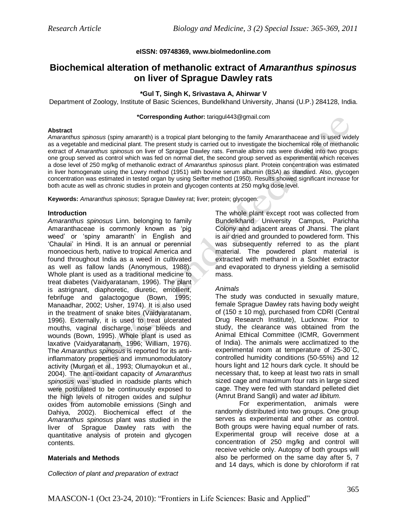## **eISSN: 09748369, www.biolmedonline.com**

# **Biochemical alteration of methanolic extract of** *Amaranthus spinosus* **on liver of Sprague Dawley rats**

## **\*Gul T, Singh K, Srivastava A, Ahirwar V**

Department of Zoology, Institute of Basic Sciences, Bundelkhand University, Jhansi (U.P.) 284128, India.

#### **\*Corresponding Author:** tariqgul443@gmail.com

#### **Abstract**

*Amaranthus spinosus* (spiny amaranth) is a tropical plant belonging to the family Amaranthaceae and is used widely as a vegetable and medicinal plant. The present study is carried out to investigate the biochemical role of methanolic extract of *Amaranthus spinosus* on liver of Sprague Dawley rats. Female albino rats were divided into two groups: one group served as control which was fed on normal diet, the second group served as experimental which receives a dose level of 250 mg/kg of methanolic extract of *Amaranthus spinosus* plant. Protein concentration was estimated in liver homogenate using the Lowry method (1951) with bovine serum albumin (BSA) as standard. Also, glycogen concentration was estimated in tested organ by using Seifter method (1950). Results showed significant increase for both acute as well as chronic studies in protein and glycogen contents at 250 mg/kg dose level.

**Keywords:** *Amaranthus spinosus*; Sprague Dawley rat; liver; protein; glycogen.

## **Introduction**

*Amaranthus spinosus* Linn. belonging to family Amaranthaceae is commonly known as 'pig weed' or 'spiny amaranth' in English and 'Chaulai' in Hindi. It is an annual or perennial monoecious herb, native to tropical America and found throughout India as a weed in cultivated as well as fallow lands (Anonymous, 1988). Whole plant is used as a traditional medicine to treat diabetes (Vaidyaratanam, 1996). The plant is astrignant, diaphoretic, diuretic, emollient, febrifuge and galactogogue (Bown, 1995; Manaadhar, 2002; Usher, 1974). It is also used in the treatment of snake bites (Vaidyaratanam, 1996). Externally, it is used to treat ulcerated mouths, vaginal discharge, nose bleeds and wounds (Bown, 1995). Whole plant is used as laxative (Vaidyaratanam, 1996; William, 1976). The *Amaranthus spinosus* is reported for its antiinflammatory properties and immunomodulatory activity (Murgan et al., 1993; Olumayokun et al., 2004). The anti-oxidant capacity of *Amaranthus spinosus* was studied in roadside plants which were postulated to be continuously exposed to the high levels of nitrogen oxides and sulphur oxides from automobile emissions (Singh and Dahiya, 2002). Biochemical effect of the *Amaranthus spinosus* plant was studied in the liver of Sprague Dawley rats with the quantitative analysis of protein and glycogen contents.

## **Materials and Methods**

*Collection of plant and preparation of extract*

The whole plant except root was collected from Bundelkhand University Campus, Parichha Colony and adjacent areas of Jhansi. The plant is air dried and grounded to powdered form. This was subsequently referred to as the plant material. The powdered plant material is extracted with methanol in a Soxhlet extractor and evaporated to dryness yielding a semisolid mass.

## *Animals*

The study was conducted in sexually mature, female Sprague Dawley rats having body weight of (150  $\pm$  10 mg), purchased from CDRI (Central Drug Research Institute), Lucknow. Prior to study, the clearance was obtained from the Animal Ethical Committee (ICMR, Government of India). The animals were acclimatized to the experimental room at temperature of 25-30˚C, controlled humidity conditions (50-55%) and 12 hours light and 12 hours dark cycle. It should be necessary that, to keep at least two rats in small sized cage and maximum four rats in large sized cage. They were fed with standard pelleted diet (Amrut Brand Sangli) and water *ad libitum.* 

 For experimentation, animals were randomly distributed into two groups. One group serves as experimental and other as control. Both groups were having equal number of rats. Experimental group will receive dose at a concentration of 250 mg/kg and control will receive vehicle only. Autopsy of both groups will also be performed on the same day after 5, 7 and 14 days, which is done by chloroform if rat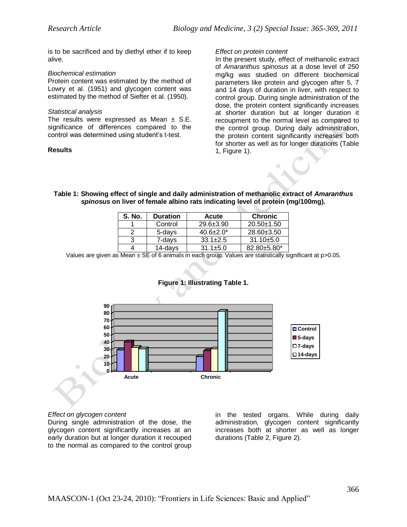is to be sacrificed and by diethyl ether if to keep alive.

## *Biochemical estimation*

Protein content was estimated by the method of Lowry et al. (1951) and glycogen content was estimated by the method of Siefter et al. (1950).

## *Statistical analysis*

The results were expressed as Mean  $\pm$  S.E. significance of differences compared to the control was determined using student's t-test.

## **Results**

#### *Effect on protein content*

In the present study, effect of methanolic extract of *Amaranthus spinosus* at a dose level of 250 mg/kg was studied on different biochemical parameters like protein and glycogen after 5, 7 and 14 days of duration in liver, with respect to control group. During single administration of the dose, the protein content significantly increases at shorter duration but at longer duration it recoupment to the normal level as compared to the control group. During daily administration, the protein content significantly increases both for shorter as well as for longer durations (Table 1, Figure 1).

## **Table 1: Showing effect of single and daily administration of methanolic extract of** *Amaranthus spinosus* **on liver of female albino rats indicating level of protein (mg/100mg).**

| S. No. | <b>Duration</b> | Acute            | <b>Chronic</b>   |
|--------|-----------------|------------------|------------------|
|        | Control         | $29.6 \pm 3.90$  | $20.50+1.50$     |
|        | 5-days          | $40.6 \pm 2.0^*$ | $28.60 \pm 3.50$ |
| 3      | 7-days          | $33.1 \pm 2.5$   | $31.10 + 5.0$    |
|        | 14-days         | $31.1 \pm 5.0$   | 82.80±5.80*      |

Values are given as Mean  $\pm$  SE of 6 animals in each group. Values are statistically significant at p>0.05.



# **Figure 1: Illustrating Table 1.**

## *Effect on glycogen content*

During single administration of the dose, the glycogen content significantly increases at an early duration but at longer duration it recouped to the normal as compared to the control group

in the tested organs. While during daily administration, glycogen content significantly increases both at shorter as well as longer durations (Table 2, Figure 2).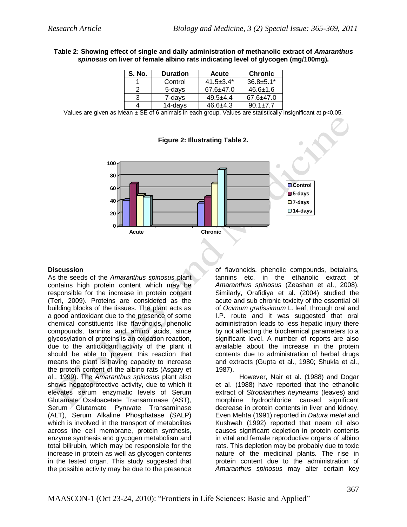## **Table 2: Showing effect of single and daily administration of methanolic extract of** *Amaranthus spinosus* **on liver of female albino rats indicating level of glycogen (mg/100mg).**

| S. No. | <b>Duration</b> | <b>Acute</b>    | <b>Chronic</b>  |
|--------|-----------------|-----------------|-----------------|
|        | Control         | $41.5 \pm 3.4*$ | $36.8 \pm 5.1*$ |
|        | 5-days          | $67.6 \pm 47.0$ | $46.6 \pm 1.6$  |
| 3      | 7-days          | $49.5 + 4.4$    | $67.6 \pm 47.0$ |
|        | 14-days         | $46.6 + 4.3$    | $90.1 \pm 7.7$  |

Values are given as Mean  $\pm$  SE of 6 animals in each group. Values are statistically insignificant at p<0.05.



# **Figure 2: Illustrating Table 2.**

# **Discussion**

As the seeds of the *Amaranthus spinosus* plant contains high protein content which may be responsible for the increase in protein content (Teri, 2009). Proteins are considered as the building blocks of the tissues. The plant acts as a good antioxidant due to the presence of some chemical constituents like flavonoids, phenolic compounds, tannins and amino acids, since glycosylation of proteins is an oxidation reaction, due to the antioxidant activity of the plant it should be able to prevent this reaction that means the plant is having capacity to increase the protein content of the albino rats (Asgary et al., 1999). The *Amaranthus spinosus* plant also shows hepatoprotective activity, due to which it elevates serum enzymatic levels of Serum Glutamate Oxaloacetate Transaminase (AST), Serum Glutamate Pyruvate Transaminase (ALT), Serum Alkaline Phosphatase (SALP) which is involved in the transport of metabolites across the cell membrane, protein synthesis, enzyme synthesis and glycogen metabolism and total bilirubin, which may be responsible for the increase in protein as well as glycogen contents in the tested organ. This study suggested that the possible activity may be due to the presence

of flavonoids, phenolic compounds, betalains, tannins etc. in the ethanolic extract of *Amaranthus spinosus* (Zeashan et al., 2008). Similarly, Orafidiya et al. (2004) studied the acute and sub chronic toxicity of the essential oil of *Ocimum gratissimum* L. leaf, through oral and I.P. route and it was suggested that oral administration leads to less hepatic injury there by not affecting the biochemical parameters to a significant level. A number of reports are also available about the increase in the protein contents due to administration of herbal drugs and extracts (Gupta et al., 1980; Shukla et al., 1987).

 However, Nair et al. (1988) and Dogar et al. (1988) have reported that the ethanolic extract of *Strobilanthes heyneams* (leaves) and morphine hydrochloride caused significant decrease in protein contents in liver and kidney. Even Mehta (1991) reported in *Datura metel* and Kushwah (1992) reported that neem oil also causes significant depletion in protein contents in vital and female reproductive organs of albino rats. This depletion may be probably due to toxic nature of the medicinal plants. The rise in protein content due to the administration of *Amaranthus spinosus* may alter certain key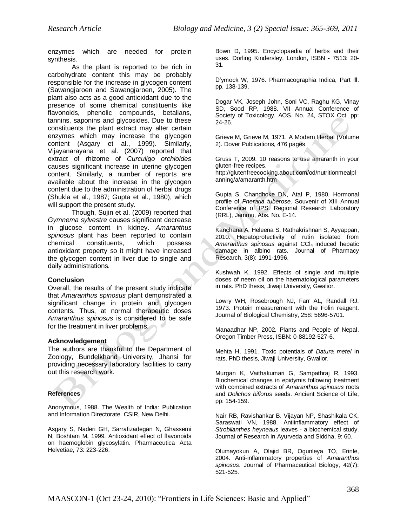enzymes which are needed for protein synthesis.

As the plant is reported to be rich in carbohydrate content this may be probably responsible for the increase in glycogen content (Sawangjaroen and Sawangjaroen, 2005). The plant also acts as a good antioxidant due to the presence of some chemical constituents like flavonoids, phenolic compounds, betalians, tannins, saponins and glycosides. Due to these constituents the plant extract may alter certain enzymes which may increase the glycogen content (Asgary et al., 1999). Similarly, Vijayanarayana et al. (2007) reported that extract of rhizome of *Curculigo orchioides* causes significant increase in uterine glycogen content. Similarly, a number of reports are available about the increase in the glycogen content due to the administration of herbal drugs (Shukla et al., 1987; Gupta et al., 1980), which will support the present study.

 Though, Sujin et al. (2009) reported that *Gymnema sylvestre* causes significant decrease in glucose content in kidney. *Amaranthus spinosus* plant has been reported to contain chemical constituents, which possess antioxidant property so it might have increased the glycogen content in liver due to single and daily administrations.

# **Conclusion**

Overall, the results of the present study indicate that *Amaranthus spinosus* plant demonstrated a significant change in protein and glycogen contents. Thus, at normal therapeutic doses *Amaranthus spinosus* is considered to be safe for the treatment in liver problems.

# **Acknowledgement**

The authors are thankful to the Department of Zoology, Bundelkhand University, Jhansi for providing necessary laboratory facilities to carry out this research work.

# **References**

Anonymous, 1988. The Wealth of India: Publication and Information Directorate. CSIR, New Delhi.

Asgary S, Naderi GH, Sarrafizadegan N, Ghassemi N, Boshtam M, 1999. Antioxidant effect of flavonoids on haemoglobin glycosylatin. Pharmaceutica Acta Helvetiae, 73: 223-226.

Bown D, 1995. Encyclopaedia of herbs and their uses. Dorling Kindersley, London, ISBN - 7513: 20- 31.

D'ymock W, 1976. Pharmacographia Indica, Part lll. pp. 138-139.

Dogar VK, Joseph John, Soni VC, Raghu KG, Vinay SD, Sood RP, 1988. VII Annual Conference of Society of Toxicology. AOS. No. 24, STOX Oct. pp: 24-26.

Grieve M, Grieve M, 1971. A Modern Herbal (Volume 2). Dover Publications, 476 pages.

Gruss T, 2009. 10 reasons to use amaranth in your gluten-free recipes. http://glutenfreecooking.about.com/od/nutritionmealpl anning/a/amaranth.htm

Gupta S, Chandhoke DN, Atal P, 1980. Hormonal profile of *Pneraria tuberose*. Souvenir of XIII Annual Conference of IPS. Regional Research Laboratory (RRL), Jammu, Abs. No. E-14.

Kanchana A, Heleena S, Rathakrishnan S, Ayyappan, 2010. Hepatoprotectivity of rutin isolated from *Amaranthus spinosus* against CCl4 induced hepatic damage in albino rats. Journal of Pharmacy Research, 3(8): 1991-1996.

Kushwah K, 1992. Effects of single and multiple doses of neem oil on the haematological parameters in rats. PhD thesis, Jiwaji University, Gwalior.

Lowry WH, Rosebrough NJ, Farr AL, Randall RJ, 1973. Protein measurement with the Folin reagent. Journal of Biological Chemistry, 258: 5696-5701.

Manaadhar NP, 2002. Plants and People of Nepal. Oregon Timber Press, ISBN: 0-88192-527-6.

Mehta H, 1991. Toxic potentials of *Datura metel* in rats, PhD thesis, Jiwaji University, Gwalior.

Murgan K, Vaithakumari G, Sampathraj R, 1993. Biochemical changes in epidymis following treatment with combined extracts of *Amaranthus spinosus* roots and *Dolichos biflorus* seeds. Ancient Science of Life, pp: 154-159.

Nair RB, Ravishankar B. Vijayan NP, Shashikala CK, Saraswati VN, 1988. Antiinflammatory effect of *Strobilanthes heyneaus* leaves - a biochemical study. Journal of Research in Ayurveda and Siddha, 9: 60.

Olumayokun A, Olajid BR, Ogunleya TO, Erinle, 2004. Anti-inflammatory properties of *Amaranthus spinosus*. Journal of Pharmaceutical Biology, 42(7): 521-525.